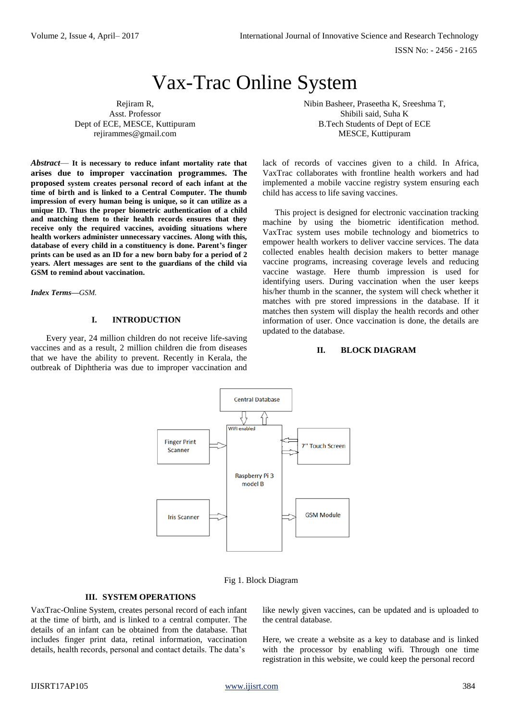ISSN No: - 2456 - 2165

# Vax-Trac Online System

Rejiram R, Asst. Professor Dept of ECE, MESCE, Kuttipuram rejirammes@gmail.com

*Abstract*— **It is necessary to reduce infant mortality rate that arises due to improper vaccination programmes. The proposed system creates personal record of each infant at the time of birth and is linked to a Central Computer. The thumb impression of every human being is unique, so it can utilize as a unique ID. Thus the proper biometric authentication of a child and matching them to their health records ensures that they receive only the required vaccines, avoiding situations where health workers administer unnecessary vaccines. Along with this, database of every child in a constituency is done. Parent's finger prints can be used as an ID for a new born baby for a period of 2 years. Alert messages are sent to the guardians of the child via GSM to remind about vaccination.**

*Index Terms—GSM.*

#### **I. INTRODUCTION**

Every year, 24 million children do not receive life-saving vaccines and as a result, 2 million children die from diseases that we have the ability to prevent. Recently in Kerala, the outbreak of Diphtheria was due to improper vaccination and

Nibin Basheer, Praseetha K, Sreeshma T, Shibili said, Suha K B.Tech Students of Dept of ECE MESCE, Kuttipuram

lack of records of vaccines given to a child. In Africa, VaxTrac collaborates with frontline health workers and had implemented a mobile vaccine registry system ensuring each child has access to life saving vaccines.

This project is designed for electronic vaccination tracking machine by using the biometric identification method. VaxTrac system uses mobile technology and biometrics to empower health workers to deliver vaccine services. The data collected enables health decision makers to better manage vaccine programs, increasing coverage levels and reducing vaccine wastage. Here thumb impression is used for identifying users. During vaccination when the user keeps his/her thumb in the scanner, the system will check whether it matches with pre stored impressions in the database. If it matches then system will display the health records and other information of user. Once vaccination is done, the details are updated to the database.

#### **II. BLOCK DIAGRAM**



Fig 1. Block Diagram

## **III. SYSTEM OPERATIONS**

VaxTrac-Online System, creates personal record of each infant at the time of birth, and is linked to a central computer. The details of an infant can be obtained from the database. That includes finger print data, retinal information, vaccination details, health records, personal and contact details. The data's

like newly given vaccines, can be updated and is uploaded to the central database.

Here, we create a website as a key to database and is linked with the processor by enabling wifi. Through one time registration in this website, we could keep the personal record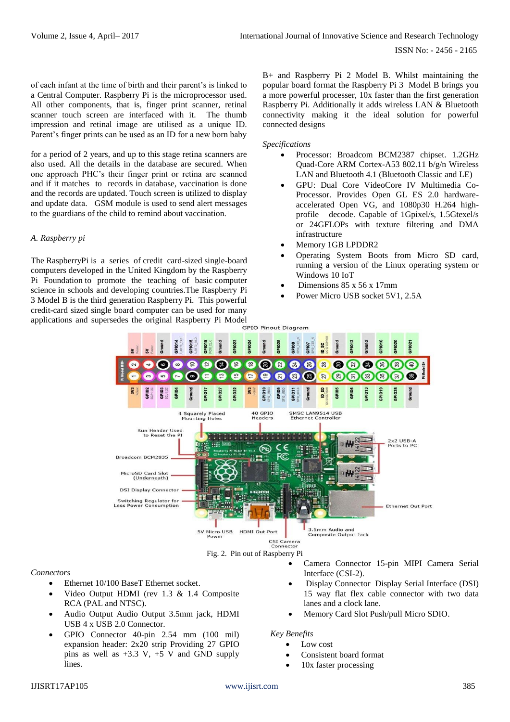of each infant at the time of birth and their parent's is linked to a Central Computer. Raspberry Pi is the microprocessor used. All other components, that is, finger print scanner, retinal scanner touch screen are interfaced with it. The thumb impression and retinal image are utilised as a unique ID. Parent's finger prints can be used as an ID for a new born baby

for a period of 2 years, and up to this stage retina scanners are also used. All the details in the database are secured. When one approach PHC's their finger print or retina are scanned and if it matches to records in database, vaccination is done and the records are updated. Touch screen is utilized to display and update data. GSM module is used to send alert messages to the guardians of the child to remind about vaccination.

## *A. Raspberry pi*

The RaspberryPi is a series of [credit card-](https://en.wikipedia.org/wiki/Credit_card)sized [single-board](https://en.wikipedia.org/wiki/Single-board_computer)  [computers](https://en.wikipedia.org/wiki/Single-board_computer) developed in the [United Kingdom](https://en.wikipedia.org/wiki/United_Kingdom) by the [Raspberry](https://en.wikipedia.org/wiki/Raspberry_Pi_Foundation)  [Pi Foundation](https://en.wikipedia.org/wiki/Raspberry_Pi_Foundation) to promote the teaching of basic [computer](https://en.wikipedia.org/wiki/Computer_science)  [science](https://en.wikipedia.org/wiki/Computer_science) in schools and [developing countries.](https://en.wikipedia.org/wiki/Developing_countries)The Raspberry Pi 3 Model B is the third generation Raspberry Pi. This powerful credit-card sized single board computer can be used for many

B+ and Raspberry Pi 2 Model B. Whilst maintaining the popular board format the Raspberry Pi 3 Model B brings you a more powerful processer, 10x faster than the first generation Raspberry Pi. Additionally it adds wireless LAN & Bluetooth connectivity making it the ideal solution for powerful connected designs

#### *Specifications*

- Processor: Broadcom BCM2387 chipset. 1.2GHz Quad-Core ARM Cortex-A53 802.11 b/g/n Wireless LAN and Bluetooth 4.1 (Bluetooth Classic and LE)
- GPU: Dual Core VideoCore IV Multimedia Co-Processor. Provides Open GL ES 2.0 hardwareaccelerated Open VG, and 1080p30 H.264 highprofile decode. Capable of 1Gpixel/s, 1.5Gtexel/s or 24GFLOPs with texture filtering and DMA infrastructure
- Memory 1GB LPDDR2
- Operating System Boots from Micro SD card, running a version of the Linux operating system or Windows 10 IoT
- Dimensions 85 x 56 x 17mm
- Power Micro USB socket 5V1, 2.5A



#### *Connectors*

- Ethernet 10/100 BaseT Ethernet socket.
- Video Output HDMI (rev 1.3 & 1.4 Composite RCA (PAL and NTSC).
- Audio Output Audio Output 3.5mm jack, HDMI USB 4 x USB 2.0 Connector.
- GPIO Connector 40-pin 2.54 mm (100 mil) expansion header: 2x20 strip Providing 27 GPIO pins as well as  $+3.3$  V,  $+5$  V and GND supply lines.
- Camera Connector 15-pin MIPI Camera Serial Interface (CSI-2).
- Display Connector Display Serial Interface (DSI) 15 way flat flex cable connector with two data lanes and a clock lane.
- Memory Card Slot Push/pull Micro SDIO.

*Key Benefits*

- Low cost
	- Consistent board format
	- 10x faster processing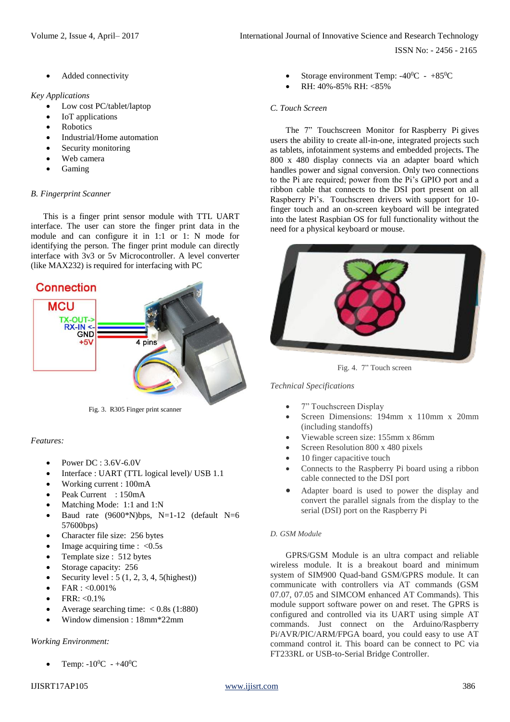ISSN No: - 2456 - 2165

Added connectivity

## *Key Applications*

- Low cost PC/tablet/laptop
- IoT applications
- **Robotics**
- Industrial/Home automation
- Security monitoring
- Web camera
- Gaming

## *B. Fingerprint Scanner*

This is a finger print sensor module with TTL UART interface. The user can store the finger print data in the module and can configure it in 1:1 or 1: N mode for identifying the person. The finger print module can directly interface with 3v3 or 5v Microcontroller. A level converter (like MAX232) is required for interfacing with PC



Fig. 3. R305 Finger print scanner

## *Features:*

- Power DC : 3.6V-6.0V
- Interface : UART (TTL logical level)/ USB 1.1
- Working current : 100mA
- Peak Current : 150mA
- Matching Mode: 1:1 and 1:N
- Baud rate  $(9600*N)bps$ , N=1-12 (default N=6 57600bps)
- Character file size: 256 bytes
- Image acquiring time :  $< 0.5$ s
- Template size : 512 bytes
- Storage capacity: 256
- Security level : 5 (1, 2, 3, 4, 5(highest))
- $FAR : <0.001\%$
- $FRR: < 0.1\%$
- Average searching time:  $< 0.8$ s (1:880)
- Window dimension : 18mm\*22mm

#### *Working Environment:*

Temp:  $-10^{0}C - +40^{0}C$ 

- Storage environment Temp:  $-40^0C +85^0C$
- RH: 40%-85% RH: <85%

## *C. Touch Screen*

The 7" Touchscreen Monitor for [Raspberry](https://www.element14.com/community/community/raspberry-pi?ICID=7inTS-Display-doc) Pi gives users the ability to create all-in-one, integrated projects such as tablets, infotainment systems and embedded projects**.** The 800 x 480 display connects via an adapter board which handles power and signal conversion. Only two connections to the Pi are required; power from the Pi's GPIO port and a ribbon cable that connects to the DSI port present on all Raspberry Pi's. Touchscreen drivers with support for 10 finger touch and an on-screen keyboard will be integrated into the latest Raspbian OS for full functionality without the need for a physical keyboard or mouse.



Fig. 4. 7" Touch screen

#### *Technical Specifications*

- 7" Touchscreen Display
- Screen Dimensions: 194mm x 110mm x 20mm (including standoffs)
- Viewable screen size: 155mm x 86mm
- Screen Resolution 800 x 480 pixels
- 10 finger capacitive touch
- Connects to the Raspberry Pi board using a ribbon cable connected to the DSI port
- Adapter board is used to power the display and convert the parallel signals from the display to the serial (DSI) port on the Raspberry Pi

## *D. GSM Module*

GPRS/GSM Module is an ultra compact and reliable wireless module. It is a breakout board and minimum system of SIM900 Quad-band GSM/GPRS module. It can communicate with controllers via AT commands (GSM 07.07, 07.05 and SIMCOM enhanced AT Commands). This module support software power on and reset. The GPRS is configured and controlled via its UART using simple AT commands. Just connect on the Arduino/Raspberry Pi/AVR/PIC/ARM/FPGA board, you could easy to use AT command control it. This board can be connect to PC via FT233RL or USB-to-Serial Bridge Controller.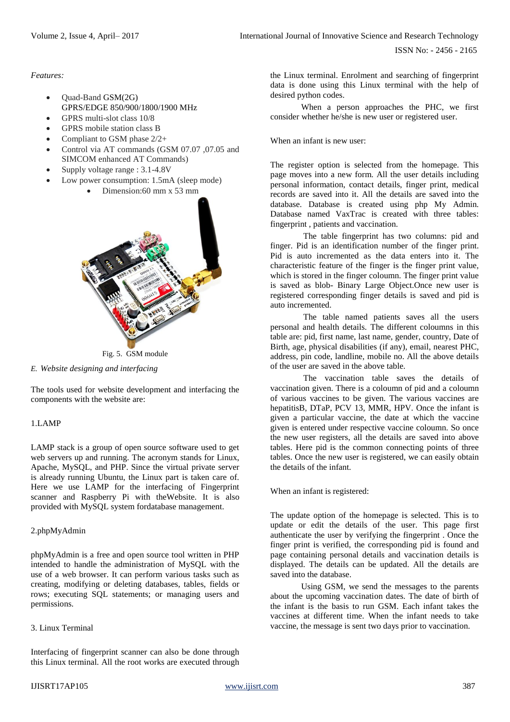*Features:*

- Quad-Band GSM(2G) GPRS/EDGE 850/900/1800/1900 MHz
- GPRS multi-slot class 10/8
- GPRS mobile station class B
- Compliant to GSM phase 2/2+
- Control via AT commands (GSM 07.07 ,07.05 and SIMCOM enhanced AT Commands)
- Supply voltage range : 3.1-4.8V
- Low power consumption: 1.5mA (sleep mode)





Fig. 5. GSM module

*E. Website designing and interfacing*

The tools used for website development and interfacing the components with the website are:

## 1.LAMP

LAMP stack is a group of open source software used to get web servers up and running. The acronym stands for Linux, Apache, MySQL, and PHP. Since the virtual private server is already running Ubuntu, the Linux part is taken care of. Here we use LAMP for the interfacing of Fingerprint scanner and Raspberry Pi with theWebsite. It is also provided with MySQL system fordatabase management.

## 2.phpMyAdmin

phpMyAdmin is a free and open source tool written in PHP intended to handle the administration of MySQL with the use of a web browser. It can perform various tasks such as creating, modifying or deleting databases, tables, fields or rows; executing SQL statements; or managing users and permissions.

## 3. Linux Terminal

Interfacing of fingerprint scanner can also be done through this Linux terminal. All the root works are executed through

the Linux terminal. Enrolment and searching of fingerprint data is done using this Linux terminal with the help of desired python codes.

When a person approaches the PHC, we first consider whether he/she is new user or registered user.

When an infant is new user:

The register option is selected from the homepage. This page moves into a new form. All the user details including personal information, contact details, finger print, medical records are saved into it. All the details are saved into the database. Database is created using php My Admin. Database named VaxTrac is created with three tables: fingerprint , patients and vaccination.

The table fingerprint has two columns: pid and finger. Pid is an identification number of the finger print. Pid is auto incremented as the data enters into it. The characteristic feature of the finger is the finger print value, which is stored in the finger coloumn. The finger print value is saved as blob- Binary Large Object.Once new user is registered corresponding finger details is saved and pid is auto incremented.

The table named patients saves all the users personal and health details. The different coloumns in this table are: pid, first name, last name, gender, country, Date of Birth, age, physical disabilities (if any), email, nearest PHC, address, pin code, landline, mobile no. All the above details of the user are saved in the above table.

The vaccination table saves the details of vaccination given. There is a coloumn of pid and a coloumn of various vaccines to be given. The various vaccines are hepatitisB, DTaP, PCV 13, MMR, HPV. Once the infant is given a particular vaccine, the date at which the vaccine given is entered under respective vaccine coloumn. So once the new user registers, all the details are saved into above tables. Here pid is the common connecting points of three tables. Once the new user is registered, we can easily obtain the details of the infant.

When an infant is registered:

The update option of the homepage is selected. This is to update or edit the details of the user. This page first authenticate the user by verifying the fingerprint . Once the finger print is verified, the corresponding pid is found and page containing personal details and vaccination details is displayed. The details can be updated. All the details are saved into the database.

Using GSM, we send the messages to the parents about the upcoming vaccination dates. The date of birth of the infant is the basis to run GSM. Each infant takes the vaccines at different time. When the infant needs to take vaccine, the message is sent two days prior to vaccination.